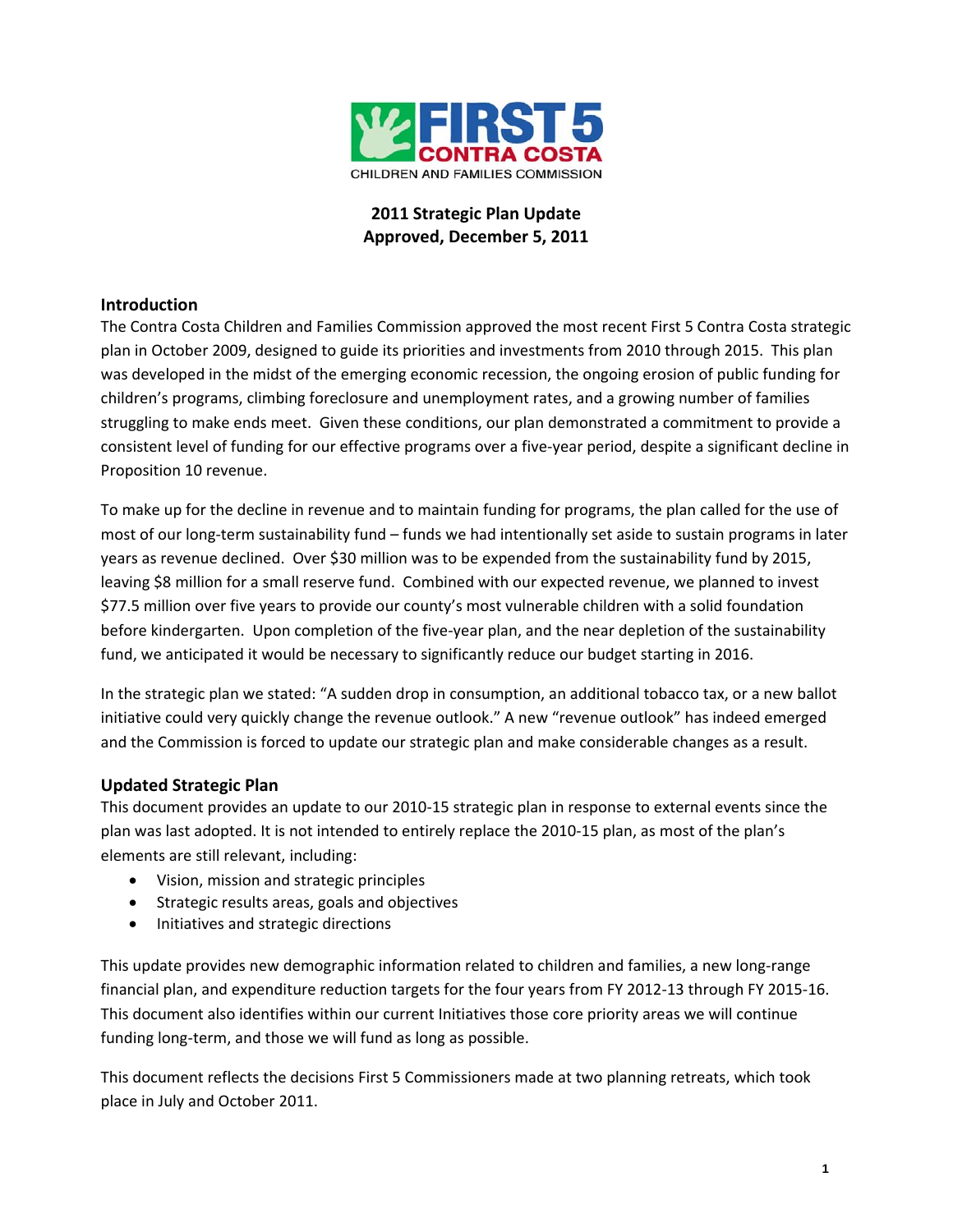

# **2011 Strategic Plan Update Approved, December 5, 2011**

## **Introduction**

The Contra Costa Children and Families Commission approved the most recent First 5 Contra Costa strategic plan in October 2009, designed to guide its priorities and investments from 2010 through 2015. This plan was developed in the midst of the emerging economic recession, the ongoing erosion of public funding for children's programs, climbing foreclosure and unemployment rates, and a growing number of families struggling to make ends meet. Given these conditions, our plan demonstrated a commitment to provide a consistent level of funding for our effective programs over a five‐year period, despite a significant decline in Proposition 10 revenue.

To make up for the decline in revenue and to maintain funding for programs, the plan called for the use of most of our long-term sustainability fund – funds we had intentionally set aside to sustain programs in later years as revenue declined. Over \$30 million was to be expended from the sustainability fund by 2015, leaving \$8 million for a small reserve fund. Combined with our expected revenue, we planned to invest \$77.5 million over five years to provide our county's most vulnerable children with a solid foundation before kindergarten. Upon completion of the five-year plan, and the near depletion of the sustainability fund, we anticipated it would be necessary to significantly reduce our budget starting in 2016.

In the strategic plan we stated: "A sudden drop in consumption, an additional tobacco tax, or a new ballot initiative could very quickly change the revenue outlook." A new "revenue outlook" has indeed emerged and the Commission is forced to update our strategic plan and make considerable changes as a result.

### **Updated Strategic Plan**

This document provides an update to our 2010‐15 strategic plan in response to external events since the plan was last adopted. It is not intended to entirely replace the 2010‐15 plan, as most of the plan's elements are still relevant, including:

- Vision, mission and strategic principles
- Strategic results areas, goals and objectives
- Initiatives and strategic directions

This update provides new demographic information related to children and families, a new long-range financial plan, and expenditure reduction targets for the four years from FY 2012‐13 through FY 2015‐16. This document also identifies within our current Initiatives those core priority areas we will continue funding long-term, and those we will fund as long as possible.

This document reflects the decisions First 5 Commissioners made at two planning retreats, which took place in July and October 2011.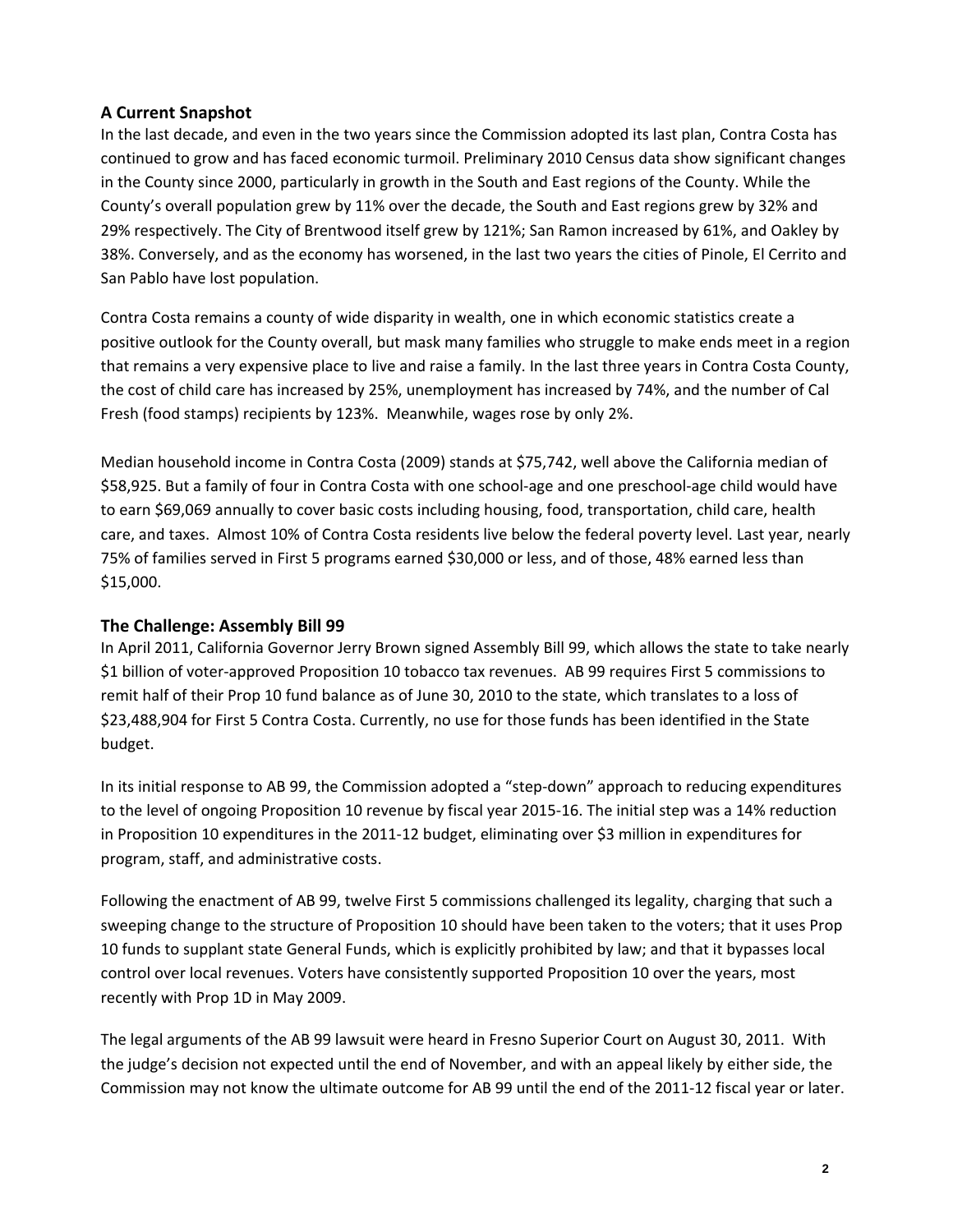### **A Current Snapshot**

In the last decade, and even in the two years since the Commission adopted its last plan, Contra Costa has continued to grow and has faced economic turmoil. Preliminary 2010 Census data show significant changes in the County since 2000, particularly in growth in the South and East regions of the County. While the County's overall population grew by 11% over the decade, the South and East regions grew by 32% and 29% respectively. The City of Brentwood itself grew by 121%; San Ramon increased by 61%, and Oakley by 38%. Conversely, and as the economy has worsened, in the last two years the cities of Pinole, El Cerrito and San Pablo have lost population.

Contra Costa remains a county of wide disparity in wealth, one in which economic statistics create a positive outlook for the County overall, but mask many families who struggle to make ends meet in a region that remains a very expensive place to live and raise a family. In the last three years in Contra Costa County, the cost of child care has increased by 25%, unemployment has increased by 74%, and the number of Cal Fresh (food stamps) recipients by 123%. Meanwhile, wages rose by only 2%.

Median household income in Contra Costa (2009) stands at \$75,742, well above the California median of \$58,925. But a family of four in Contra Costa with one school‐age and one preschool‐age child would have to earn \$69,069 annually to cover basic costs including housing, food, transportation, child care, health care, and taxes. Almost 10% of Contra Costa residents live below the federal poverty level. Last year, nearly 75% of families served in First 5 programs earned \$30,000 or less, and of those, 48% earned less than \$15,000.

### **The Challenge: Assembly Bill 99**

In April 2011, California Governor Jerry Brown signed Assembly Bill 99, which allows the state to take nearly \$1 billion of voter-approved Proposition 10 tobacco tax revenues. AB 99 requires First 5 commissions to remit half of their Prop 10 fund balance as of June 30, 2010 to the state, which translates to a loss of \$23,488,904 for First 5 Contra Costa. Currently, no use for those funds has been identified in the State budget.

In its initial response to AB 99, the Commission adopted a "step‐down" approach to reducing expenditures to the level of ongoing Proposition 10 revenue by fiscal year 2015-16. The initial step was a 14% reduction in Proposition 10 expenditures in the 2011‐12 budget, eliminating over \$3 million in expenditures for program, staff, and administrative costs.

Following the enactment of AB 99, twelve First 5 commissions challenged its legality, charging that such a sweeping change to the structure of Proposition 10 should have been taken to the voters; that it uses Prop 10 funds to supplant state General Funds, which is explicitly prohibited by law; and that it bypasses local control over local revenues. Voters have consistently supported Proposition 10 over the years, most recently with Prop 1D in May 2009.

The legal arguments of the AB 99 lawsuit were heard in Fresno Superior Court on August 30, 2011. With the judge's decision not expected until the end of November, and with an appeal likely by either side, the Commission may not know the ultimate outcome for AB 99 until the end of the 2011‐12 fiscal year or later.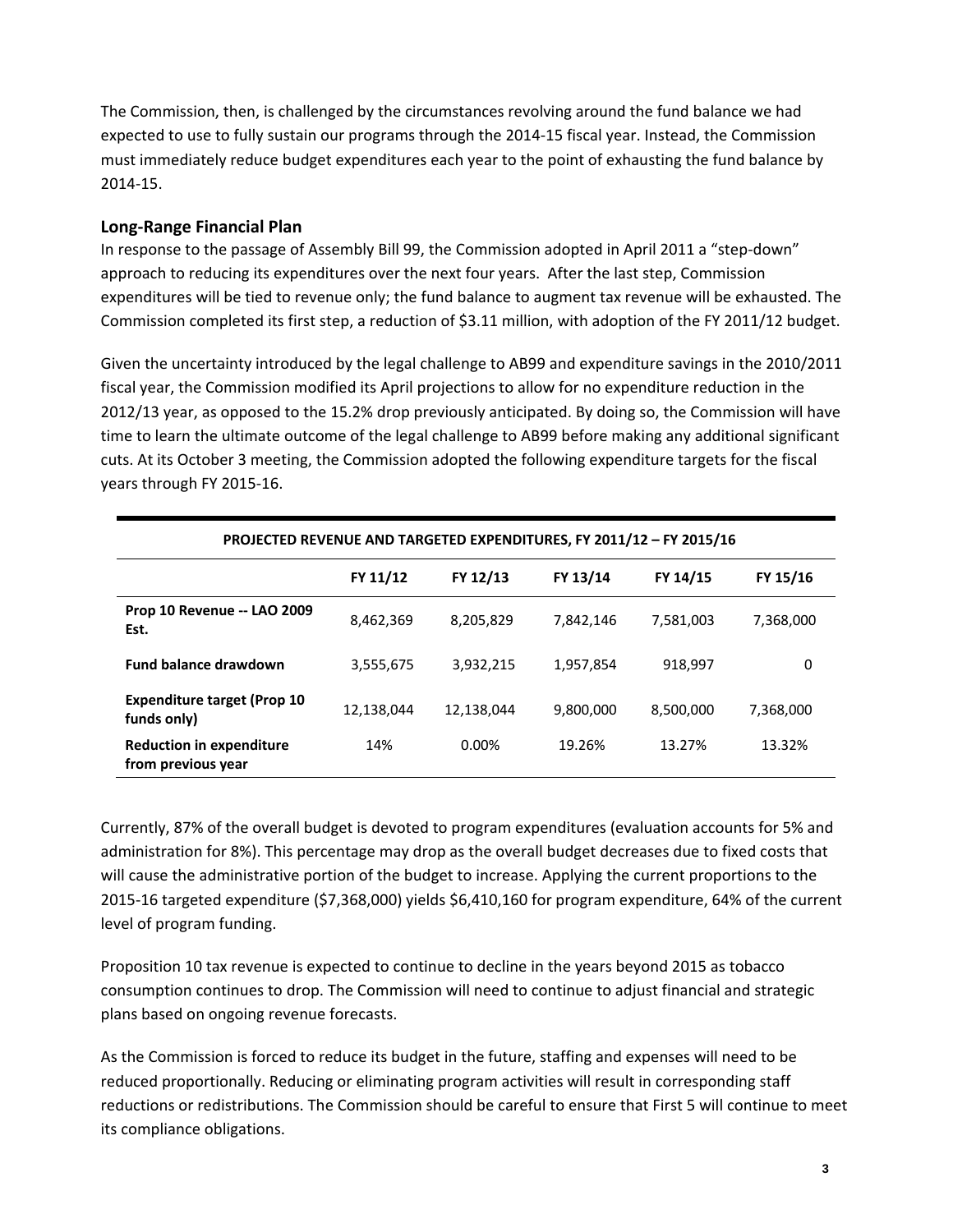The Commission, then, is challenged by the circumstances revolving around the fund balance we had expected to use to fully sustain our programs through the 2014‐15 fiscal year. Instead, the Commission must immediately reduce budget expenditures each year to the point of exhausting the fund balance by 2014‐15.

## **Long‐Range Financial Plan**

In response to the passage of Assembly Bill 99, the Commission adopted in April 2011 a "step-down" approach to reducing its expenditures over the next four years. After the last step, Commission expenditures will be tied to revenue only; the fund balance to augment tax revenue will be exhausted. The Commission completed its first step, a reduction of \$3.11 million, with adoption of the FY 2011/12 budget.

Given the uncertainty introduced by the legal challenge to AB99 and expenditure savings in the 2010/2011 fiscal year, the Commission modified its April projections to allow for no expenditure reduction in the 2012/13 year, as opposed to the 15.2% drop previously anticipated. By doing so, the Commission will have time to learn the ultimate outcome of the legal challenge to AB99 before making any additional significant cuts. At its October 3 meeting, the Commission adopted the following expenditure targets for the fiscal years through FY 2015‐16.

| PROJECTED REVENUE AND TARGETED EXPENDITURES, FY 2011/12 - FY 2015/16 |            |            |           |           |           |
|----------------------------------------------------------------------|------------|------------|-----------|-----------|-----------|
|                                                                      | FY 11/12   | FY 12/13   | FY 13/14  | FY 14/15  | FY 15/16  |
| <b>Prop 10 Revenue -- LAO 2009</b><br>Est.                           | 8,462,369  | 8,205,829  | 7,842,146 | 7,581,003 | 7,368,000 |
| <b>Fund balance drawdown</b>                                         | 3,555,675  | 3,932,215  | 1,957,854 | 918.997   | 0         |
| <b>Expenditure target (Prop 10</b><br>funds only)                    | 12,138,044 | 12,138,044 | 9,800,000 | 8,500,000 | 7,368,000 |
| <b>Reduction in expenditure</b><br>from previous year                | 14%        | 0.00%      | 19.26%    | 13.27%    | 13.32%    |

Currently, 87% of the overall budget is devoted to program expenditures (evaluation accounts for 5% and administration for 8%). This percentage may drop as the overall budget decreases due to fixed costs that will cause the administrative portion of the budget to increase. Applying the current proportions to the 2015‐16 targeted expenditure (\$7,368,000) yields \$6,410,160 for program expenditure, 64% of the current level of program funding.

Proposition 10 tax revenue is expected to continue to decline in the years beyond 2015 as tobacco consumption continues to drop. The Commission will need to continue to adjust financial and strategic plans based on ongoing revenue forecasts.

As the Commission is forced to reduce its budget in the future, staffing and expenses will need to be reduced proportionally. Reducing or eliminating program activities will result in corresponding staff reductions or redistributions. The Commission should be careful to ensure that First 5 will continue to meet its compliance obligations.